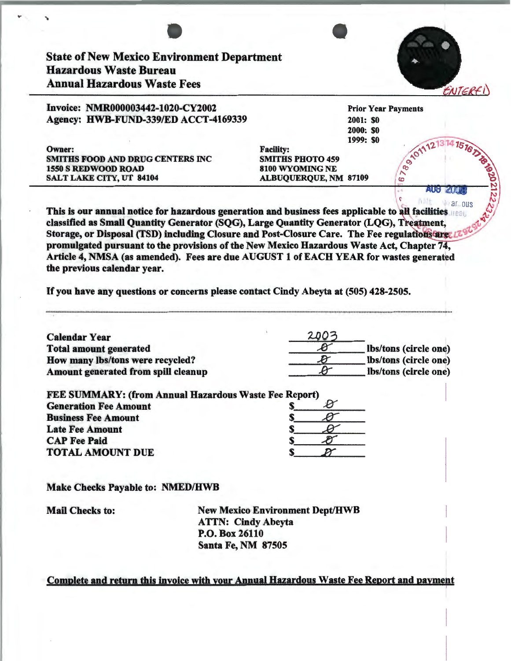|                                                                                                                                                                                                                                | <b>State of New Mexico Environment Department</b>                                     |                                                                                           |                  |                                                |
|--------------------------------------------------------------------------------------------------------------------------------------------------------------------------------------------------------------------------------|---------------------------------------------------------------------------------------|-------------------------------------------------------------------------------------------|------------------|------------------------------------------------|
|                                                                                                                                                                                                                                | <b>Hazardous Waste Bureau</b>                                                         |                                                                                           |                  |                                                |
|                                                                                                                                                                                                                                | <b>Annual Hazardous Waste Fees</b>                                                    |                                                                                           |                  | ENTERF                                         |
|                                                                                                                                                                                                                                | Invoice: NMR000003442-1020-CY2002                                                     |                                                                                           |                  | <b>Prior Year Payments</b>                     |
|                                                                                                                                                                                                                                | Agency: HWB-FUND-339/ED ACCT-4169339                                                  |                                                                                           | <b>2001: \$0</b> |                                                |
|                                                                                                                                                                                                                                |                                                                                       |                                                                                           | <b>2000: \$0</b> |                                                |
| Owner:                                                                                                                                                                                                                         |                                                                                       | <b>Facility:</b>                                                                          | 1999: \$0        | @ 101112                                       |
|                                                                                                                                                                                                                                | <b>SMITHS FOOD AND DRUG CENTERS INC</b>                                               | <b>SMITHS PHOTO 459</b>                                                                   |                  |                                                |
| <b>1550 S REDWOOD ROAD</b>                                                                                                                                                                                                     |                                                                                       | 8100 WYOMING NE                                                                           |                  | ↖                                              |
| <b>SALT LAKE CITY, UT 84104</b>                                                                                                                                                                                                |                                                                                       | <b>ALBUQUERQUE, NM 87109</b>                                                              |                  | $\bullet$                                      |
|                                                                                                                                                                                                                                |                                                                                       |                                                                                           |                  | AUG<br>6. 1. 11<br>ar ous                      |
|                                                                                                                                                                                                                                |                                                                                       | promulgated pursuant to the provisions of the New Mexico Hazardous Waste Act, Chapter 74, |                  |                                                |
|                                                                                                                                                                                                                                | Article 4, NMSA (as amended). Fees are due AUGUST 1 of EACH YEAR for wastes generated |                                                                                           |                  |                                                |
|                                                                                                                                                                                                                                |                                                                                       | If you have any questions or concerns please contact Cindy Abeyta at (505) 428-2505.      |                  |                                                |
|                                                                                                                                                                                                                                |                                                                                       |                                                                                           |                  |                                                |
|                                                                                                                                                                                                                                |                                                                                       | 200                                                                                       |                  |                                                |
|                                                                                                                                                                                                                                |                                                                                       |                                                                                           |                  | lbs/tons (circle one)                          |
|                                                                                                                                                                                                                                | How many lbs/tons were recycled?<br>Amount generated from spill cleanup               | $\boldsymbol{\mathcal{B}}$                                                                |                  | lbs/tons (circle one)<br>lbs/tons (circle one) |
|                                                                                                                                                                                                                                |                                                                                       |                                                                                           |                  |                                                |
|                                                                                                                                                                                                                                | <b>FEE SUMMARY: (from Annual Hazardous Waste Fee Report)</b>                          |                                                                                           |                  |                                                |
|                                                                                                                                                                                                                                |                                                                                       |                                                                                           |                  |                                                |
|                                                                                                                                                                                                                                |                                                                                       |                                                                                           |                  |                                                |
|                                                                                                                                                                                                                                |                                                                                       |                                                                                           |                  |                                                |
|                                                                                                                                                                                                                                |                                                                                       |                                                                                           |                  |                                                |
|                                                                                                                                                                                                                                | <b>Make Checks Payable to: NMED/HWB</b>                                               |                                                                                           |                  |                                                |
| the previous calendar year.<br><b>Calendar Year</b><br><b>Total amount generated</b><br><b>Generation Fee Amount</b><br><b>Business Fee Amount</b><br><b>Late Fee Amount</b><br><b>CAP Fee Paid</b><br><b>TOTAL AMOUNT DUE</b> |                                                                                       |                                                                                           |                  |                                                |
| <b>Mail Checks to:</b>                                                                                                                                                                                                         |                                                                                       | <b>New Mexico Environment Dept/HWB</b>                                                    |                  |                                                |
|                                                                                                                                                                                                                                |                                                                                       | <b>ATTN: Cindy Abeyta</b>                                                                 |                  |                                                |
|                                                                                                                                                                                                                                |                                                                                       | P.O. Box 26110<br><b>Santa Fe, NM 87505</b>                                               |                  |                                                |

 $\sim$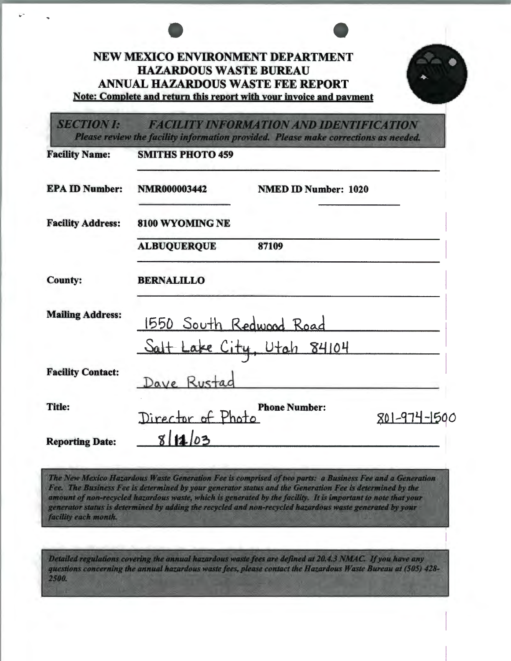|                          | <b>NEW MEXICO ENVIRONMENT DEPARTMENT</b><br><b>HAZARDOUS WASTE BUREAU</b><br><b>ANNUAL HAZARDOUS WASTE FEE REPORT</b><br>Note: Complete and return this report with your invoice and payment |
|--------------------------|----------------------------------------------------------------------------------------------------------------------------------------------------------------------------------------------|
| <b>SECTION I:</b>        | <b>FACILITY INFORMATION AND IDENTIFICATION</b><br>Please review the facility information provided. Please make corrections as needed.                                                        |
| <b>Facility Name:</b>    | <b>SMITHS PHOTO 459</b>                                                                                                                                                                      |
| <b>EPA ID Number:</b>    | <b>NMR000003442</b><br><b>NMED ID Number: 1020</b>                                                                                                                                           |
| <b>Facility Address:</b> | 8100 WYOMING NE                                                                                                                                                                              |
|                          | <b>ALBUQUERQUE</b><br>87109                                                                                                                                                                  |
| <b>County:</b>           | <b>BERNALILLO</b>                                                                                                                                                                            |
| <b>Mailing Address:</b>  | 1550 South Redwood Road                                                                                                                                                                      |
|                          | Salt Lake City, Utah 84104                                                                                                                                                                   |
| <b>Facility Contact:</b> | Dave Rustac                                                                                                                                                                                  |
| <b>Title:</b>            | <b>Phone Number:</b><br>Director of Photo<br>801-974-1500                                                                                                                                    |
| <b>Reporting Date:</b>   | 8 11 03                                                                                                                                                                                      |

The New Mexico Hazardous Waste Generation Fee is comprised of two parts: a Business Fee and a Generation Fee. The Business Fee is determined by your generator status and the Generation Fee is determined by the amount of non-recycled hazardous waste, which is generated by the facility. It is important to note that your<br>generator status is determined by adding the recycled and non-recycled hazardous waste generated by your facility each month.

Detailed regulations covering the annual hazardous waste fees are defined at 20.4.3 NMAC. If you have any questions concerning the annual hazardous waste fees, please contact the Hazardous Waste Bureau at (505) 428-2500.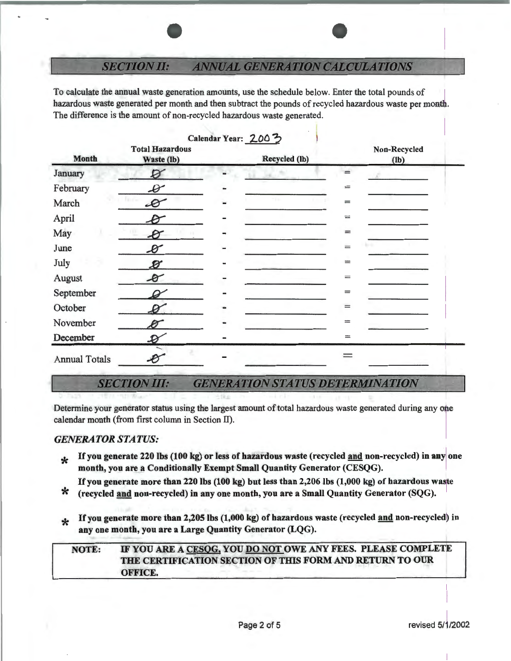### **SECTION II: ANNUAL GENERATION CALCULATIONS**

To calculate the annual waste generation amounts, use the schedule below. Enter the total pounds of hazardous waste generated per month and then subtract the pounds of recycled hazardous waste per month. The difference is the amount of non-recycled hazardous waste generated.

| Calendar Year: 2003  |                                      |  |               |                              |                      |
|----------------------|--------------------------------------|--|---------------|------------------------------|----------------------|
| <b>Month</b>         | <b>Total Hazardous</b><br>Waste (lb) |  | Recycled (lb) |                              | Non-Recycled<br>(lb) |
| January              | Ø                                    |  |               |                              |                      |
| February             | $\bm{\mathscr{D}}$                   |  |               | $=$                          |                      |
| March                | $\bm{\vartheta}$                     |  | Y.            | $=$                          |                      |
| April                | B                                    |  |               | $=$                          |                      |
| May                  | $\boldsymbol{\beta}$                 |  |               | $=$                          |                      |
| June                 | $\mathscr{B}$                        |  |               | $=$                          |                      |
| July                 | Ø                                    |  |               | $\qquad \qquad \blacksquare$ |                      |
| August               | $\bm{\beta}$                         |  |               | $=$                          |                      |
| September            |                                      |  |               | $=$                          |                      |
| October              |                                      |  |               | $=$                          |                      |
| November             |                                      |  |               | $=$                          |                      |
| December             | $\mathcal{D}$                        |  |               | $\equiv$                     |                      |
| <b>Annual Totals</b> |                                      |  |               |                              |                      |

### **SECTION III: GENERATION STATUS DETERMINATION**

Determine your generator status using the largest amount of total hazardous waste generated during any one calendar month (from first column in Section II).

## *GENERATOR STATUS:*

- **Example 120 lbs (100 kg) or less of hazardous waste (recycled and non-recycled) in any one** month, you are a Conditionally Exempt Small Quantity Generator (CESQG).
- If you generate more than 220 lbs (100 kg) but less than 2,206 lbs (1,000 kg) of hazardous waste<br>  $\star$  (recycled and non-recycled) in any one month, you are a Small Quantity Generator (SQG).
- 
- If you generate more than 2,205 lbs (1,000 kg) of hazardous waste (recycled and non-recycled) in any one month, you are a Large Quantity Generator (LQG).

# NOTE: IF YOU ARE A CESQG, YOU DO NOT OWE ANY FEES. PLEASE COMPLETE THE CERTIFICATION SECTION OF THIS FORM AND RETURN TO OUR OFFICE.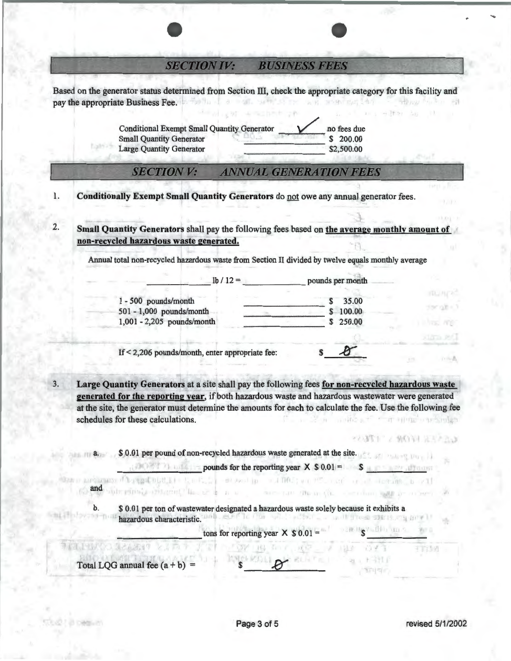### **SECTION IV: BUSINESS FEES**

Based on the generator status determined from Section III, check the appropriate category for this facility and pay the appropriate Business Fee. 8 K 31-95

> Conditional Exempt Small Quantity Generator <br>
> Small Quantity Generator <br>
> Small Quantity Generator <br>
> Small Quantity Generator Small Quantity Generator \$ 200.00 Large Quantity Generator

#### **SECTION V: ANNUAL GENERATION FEES**

- 1. Conditionally Exempt Small Quantity Generators do not owe any annual generator fees.
- 2. Small Quantity Generators shall pay the following fees based on the average monthly amount of non-recycled hazardous waste generated.

Annual total non-recycled hazardous waste from Section II divided by twelve equals monthly average

|                            | $1b / 12 =$ | pounds per month |
|----------------------------|-------------|------------------|
| 1 - 500 pounds/month       |             | 35.00            |
| 501 - 1,000 pounds/month   |             | 100.00           |
| 1,001 - 2,205 pounds/month |             | 250.00           |
|                            |             |                  |

If  $\leq$  2,206 pounds/month, enter appropriate fee:  $\qquad \qquad$  \$

3. Large Quantity Generators at a site shall pay the following fees for non-recycled hazardous waste generated for the reporting year, if both hazardous waste and hazardous wastewater were generated at the site, the generator must determine the amounts for each to calculate the fee. Use the following fee schedules for these calculations.

a. \$ 0.01 per pound of non-recycled hazardous waste generated at the site.

 $p$  pounds for the reporting year  $X \$  0.01 =  $\sim$  \$  $\frac{1}{\sqrt{2}}$  . The result of  $\frac{1}{2}$  and  $\frac{1}{2}$  and  $\frac{1}{2}$  and  $\frac{1}{2}$  and  $\frac{1}{2}$  and  $\frac{1}{2}$  and  $\frac{1}{2}$  and  $\frac{1}{2}$  and  $\frac{1}{2}$  and  $\frac{1}{2}$  and

b. \$ 0.01 per ton of wastewater designated a hazardous waste solely because it exhibits a hazardous characteristic.  $\frac{1}{100}$ . ELECTED for  $\frac{1}{100}$  year  $X \$ 0.01 = -1$ 

trating many than the search of the community of the community of the search of the search of the search of the

Total LQG annual fee  $(a + b)$  =

and

21 COMMUNI

manne?

计二进

大脑的第三项目

 $21.1311$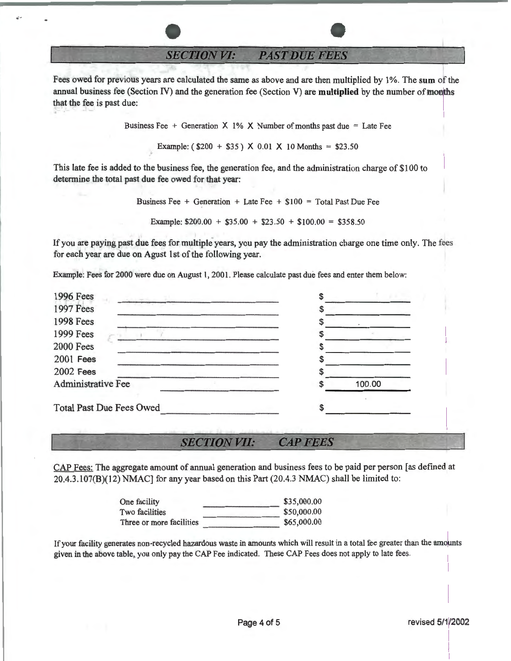**SECTION VI: PAST DUE FEES** 

..

Fees owed for previous years are calculated the same as above and are then multiplied by 1 %. The **sum** of the annual business fee (Section IV) and the generation fee (Section V) are **multiplied** by the number of months that the fee is past due:

Business Fee + Generation  $X$  1% X Number of months past due = Late Fee

Example:  $($200 + $35) \times 0.01 \times 10 \text{ months} = $23.50$ 

This late fee is added to the business fee, the generation fee, and the administration charge of \$100 to determine the total past due fee owed for that year:

> Business Fee + Generation + Late Fee +  $$100 = Total$  Past Due Fee Example:  $$200.00 + $35.00 + $23.50 + $100.00 = $358.50$

If you are paying past due fees for multiple years, you pay the administration charge one time only. The fees for each year are due on Agust 1st of the following year.

Example: Fees for 2000 were due on August 1, 2001. Please calculate past due fees and enter them below:

| 1996 Fees<br>이 등장 보니            |        |
|---------------------------------|--------|
| 1997 Fees                       |        |
| <b>1998 Fees</b>                |        |
| <b>1999 Fees</b>                |        |
| <b>2000 Fees</b>                |        |
| <b>2001 Fees</b>                |        |
| <b>2002 Fees</b>                |        |
| <b>Administrative Fee</b>       | 100.00 |
| <b>Total Past Due Fees Owed</b> |        |

**SECTION VII: CAP FEES** 

CAP Fees: The aggregate amount of annual generation and business fees to be paid per person [as defined at 20.4.3.107(B)(12) NMAC] for any year based on this Part (20.4.3 NMAC) shall be limited to:

| One facility             | \$35,000.00 |
|--------------------------|-------------|
| Two facilities           | \$50,000.00 |
| Three or more facilities | \$65,000.00 |

If your facility generates non-recycled hazardous waste in amounts which will result in a total fee greater than the amounts given in the above table, you only pay the CAP Fee indicated. These CAP Fees does not apply to late fees.